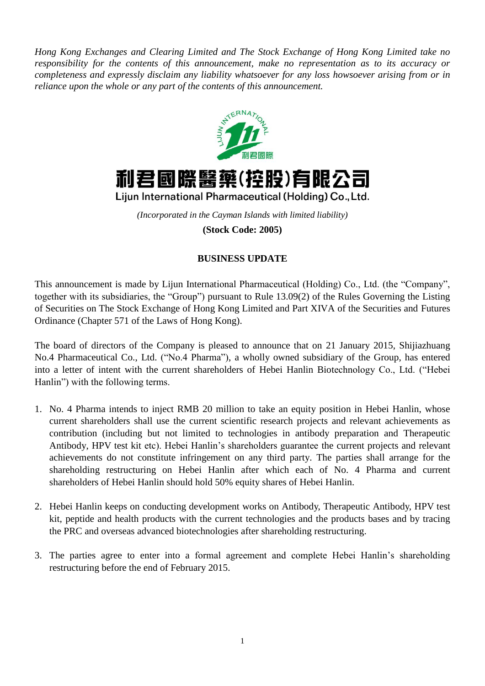*Hong Kong Exchanges and Clearing Limited and The Stock Exchange of Hong Kong Limited take no responsibility for the contents of this announcement, make no representation as to its accuracy or completeness and expressly disclaim any liability whatsoever for any loss howsoever arising from or in reliance upon the whole or any part of the contents of this announcement.*





Lijun International Pharmaceutical (Holding) Co., Ltd.

*(Incorporated in the Cayman Islands with limited liability)* **(Stock Code: 2005)**

## **BUSINESS UPDATE**

This announcement is made by Lijun International Pharmaceutical (Holding) Co., Ltd. (the "Company", together with its subsidiaries, the "Group") pursuant to Rule 13.09(2) of the Rules Governing the Listing of Securities on The Stock Exchange of Hong Kong Limited and Part XIVA of the Securities and Futures Ordinance (Chapter 571 of the Laws of Hong Kong).

The board of directors of the Company is pleased to announce that on 21 January 2015, Shijiazhuang No.4 Pharmaceutical Co., Ltd. ("No.4 Pharma"), a wholly owned subsidiary of the Group, has entered into a letter of intent with the current shareholders of Hebei Hanlin Biotechnology Co., Ltd. ("Hebei Hanlin") with the following terms.

- 1. No. 4 Pharma intends to inject RMB 20 million to take an equity position in Hebei Hanlin, whose current shareholders shall use the current scientific research projects and relevant achievements as contribution (including but not limited to technologies in antibody preparation and Therapeutic Antibody, HPV test kit etc). Hebei Hanlin's shareholders guarantee the current projects and relevant achievements do not constitute infringement on any third party. The parties shall arrange for the shareholding restructuring on Hebei Hanlin after which each of No. 4 Pharma and current shareholders of Hebei Hanlin should hold 50% equity shares of Hebei Hanlin.
- 2. Hebei Hanlin keeps on conducting development works on Antibody, Therapeutic Antibody, HPV test kit, peptide and health products with the current technologies and the products bases and by tracing the PRC and overseas advanced biotechnologies after shareholding restructuring.
- 3. The parties agree to enter into a formal agreement and complete Hebei Hanlin's shareholding restructuring before the end of February 2015.